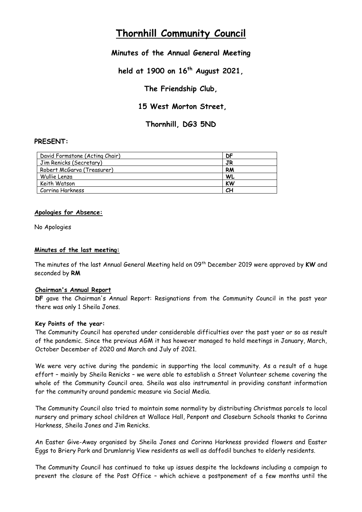# **Thornhill Community Council**

# **Minutes of the Annual General Meeting**

**held at 1900 on 16th August 2021,** 

**The Friendship Club,**

**15 West Morton Street,** 

**Thornhill, DG3 5ND**

# **PRESENT:**

| David Formstone (Acting Chair) | DF        |
|--------------------------------|-----------|
| Jim Renicks (Secretary)        | JR        |
| Robert McGarva (Treasurer)     | <b>RM</b> |
| Wullie Lenza                   | WL        |
| Keith Watson                   | KW        |
| Corrina Harkness               | CН        |

## **Apologies for Absence:**

No Apologies

## **Minutes of the last meeting:**

The minutes of the last Annual General Meeting held on 09th December 2019 were approved by **KW** and seconded by **RM**

#### **Chairman's Annual Report**

**DF** gave the Chairman's Annual Report: Resignations from the Community Council in the past year there was only 1 Sheila Jones.

#### **Key Points of the year:**

The Community Council has operated under considerable difficulties over the past yaer or so as result of the pandemic. Since the previous AGM it has however managed to hold meetings in January, March, October December of 2020 and March and July of 2021.

We were very active during the pandemic in supporting the local community. As a result of a huge effort – mainly by Sheila Renicks – we were able to establish a Street Volunteer scheme covering the whole of the Community Council area. Sheila was also instrumental in providing constant information for the community around pandemic measure via Social Media.

The Community Council also tried to maintain some normality by distributing Christmas parcels to local nursery and primary school children at Wallace Hall, Penpont and Closeburn Schools thanks to Corinna Harkness, Sheila Jones and Jim Renicks.

An Easter Give-Away organised by Sheila Jones and Corinna Harkness provided flowers and Easter Eggs to Briery Park and Drumlanrig View residents as well as daffodil bunches to elderly residents.

The Community Council has continued to take up issues despite the lockdowns including a campaign to prevent the closure of the Post Office – which achieve a postponement of a few months until the